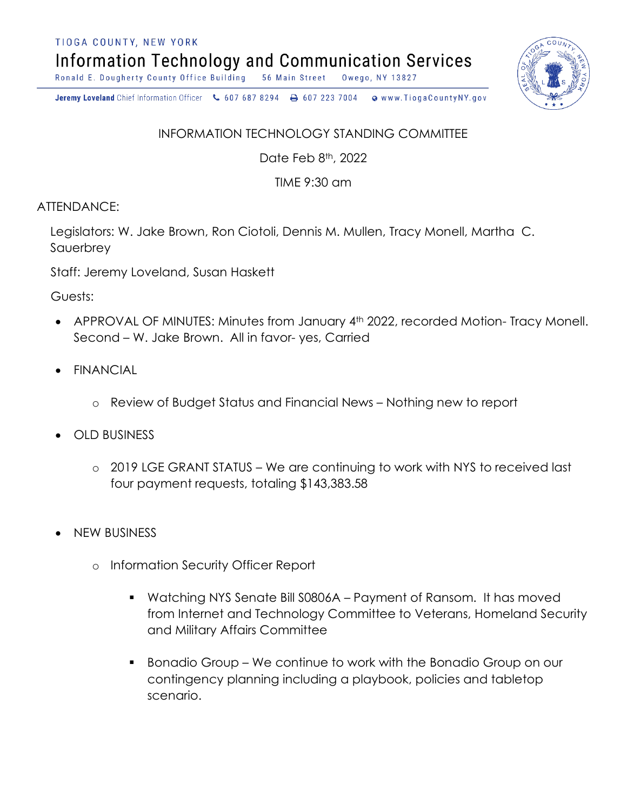TIOGA COUNTY, NEW YORK

**Information Technology and Communication Services** 

Ronald E. Dougherty County Office Building 56 Main Street Owego, NY 13827

Jeremy Loveland Chief Information Officer \607 687 8294 \ + 607 223 7004 o www.TiogaCountyNY.gov

## INFORMATION TECHNOLOGY STANDING COMMITTEE

Date Feb 8th, 2022

TIME 9:30 am

## ATTENDANCE:

Legislators: W. Jake Brown, Ron Ciotoli, Dennis M. Mullen, Tracy Monell, Martha C. Sauerbrey

Staff: Jeremy Loveland, Susan Haskett

Guests:

- APPROVAL OF MINUTES: Minutes from January 4<sup>th</sup> 2022, recorded Motion- Tracy Monell. Second – W. Jake Brown. All in favor- yes, Carried
- **FINANCIAL** 
	- o Review of Budget Status and Financial News Nothing new to report
- OLD BUSINESS
	- o 2019 LGE GRANT STATUS We are continuing to work with NYS to received last four payment requests, totaling \$143,383.58
- NEW BUSINESS
	- o Information Security Officer Report
		- § Watching NYS Senate Bill S0806A Payment of Ransom. It has moved from Internet and Technology Committee to Veterans, Homeland Security and Military Affairs Committee
		- § Bonadio Group We continue to work with the Bonadio Group on our contingency planning including a playbook, policies and tabletop scenario.